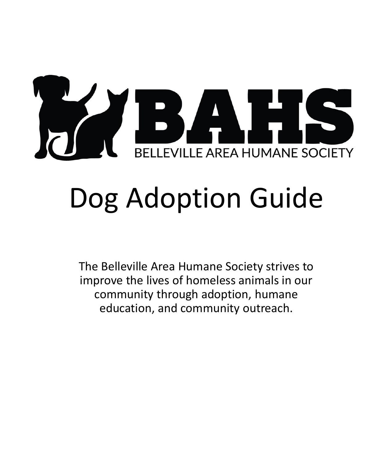

# Dog Adoption Guide

The Belleville Area Humane Society strives to improve the lives of homeless animals in our community through adoption, humane education, and community outreach.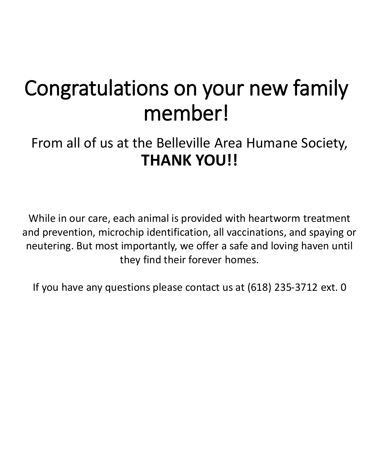### Congratulations on your new family member!

From all of us at the Belleville Area Humane Society, **THANK YOU!!**

While in our care, each animal is provided with heartworm treatment and prevention, microchip identification, all vaccinations, and spaying or neutering. But most importantly, we offer a safe and loving haven until they find their forever homes.

If you have any questions please contact us at (618) 235-3712 ext. 0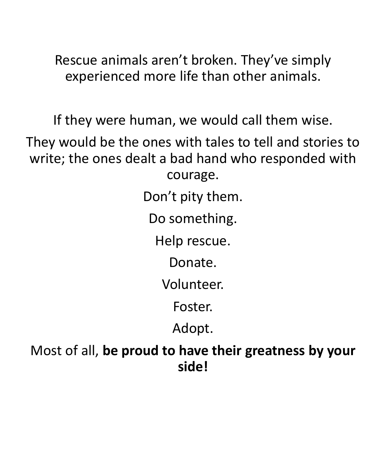Rescue animals aren't broken. They've simply experienced more life than other animals.

If they were human, we would call them wise.

They would be the ones with tales to tell and stories to write; the ones dealt a bad hand who responded with courage.

Don't pity them.

Do something.

Help rescue.

Donate.

Volunteer.

Foster.

Adopt.

Most of all, **be proud to have their greatness by your side!**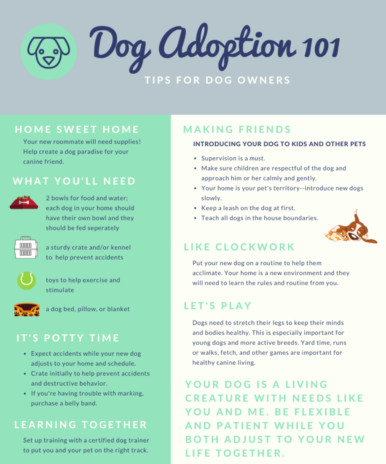Dog Adoption 101 **TIPS FOR DOG OWNERS** 

### **HOME SWEET HOME**

Your new roommate will need supplies! Help create a dog paradise for your canine friend.

#### **WHAT YOU'LL NEED**



2 bowls for food and water; each dog in your home should have their own bowl and they should be fed seperately



a sturdy crate and/or kennel to help prevent accidents



toys to help exercise and stimulate



a dog bed, pillow, or blanket

#### **IT'S POTTY TIME**

- Expect accidents while your new dog adjusts to your home and schedule.
- Crate initially to help prevent accidents and destructive behavior.
- If you're having trouble with marking, purchase a belly band.

#### **LEARNING TOGETHER**

Set up training with a certified dog trainer to put you and your pet on the right track.

#### **MAKING FRIENDS**

#### **INTRODUCING YOUR DOG TO KIDS AND OTHER PETS**

- Supervision is a must.
- Make sure children are respectful of the dog and approach him or her calmly and gently.
- Your home is your pet's territory--introduce new dogs slowly.
- Keep a leash on the dog at first.
- Teach all dogs in the house boundaries.



#### **LIKE CLOCKWORK**

Put your new dog on a routine to help them acclimate. Your home is a new environment and they will need to learn the rules and routine from you.

#### **LET'S PLAY**

Dogs need to stretch their legs to keep their minds and bodies healthy. This is especially important for young dogs and more active breeds. Yard time, runs or walks, fetch, and other games are important for healthy canine living.

YOUR DOG IS A LIVING **CREATURE WITH NEEDS LIKE YOU AND ME. BE FLEXIBLE AND PATIENT WHILE YOU BOTH ADJUST TO YOUR NEW** LIFE TOGETHER.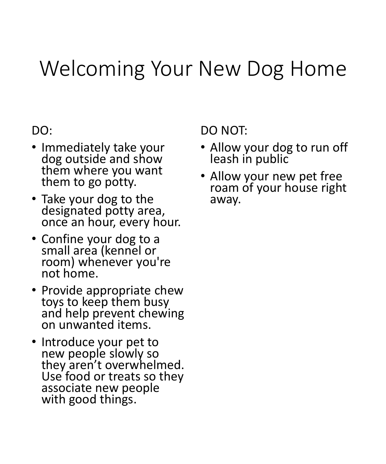### Welcoming Your New Dog Home

#### DO:

- Immediately take your dog outside and show them where you want them to go potty.
- Take your dog to the designated potty area, once an hour, every hour.
- Confine your dog to a small area (kennel or room) whenever you're not home.
- Provide appropriate chew toys to keep them busy and help prevent chewing on unwanted items.
- Introduce your pet to new people slowly so they aren't overwhelmed. Use food or treats so they associate new people with good things.

DO NOT:

- Allow your dog to run off leash in public
- Allow your new pet free roam of your house right away.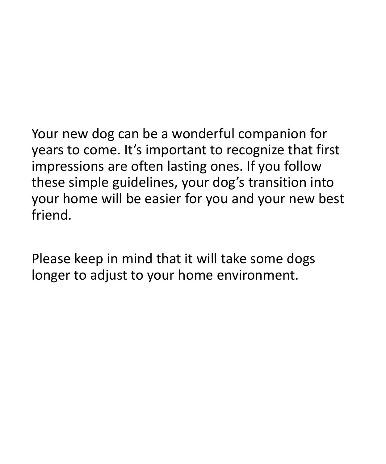Your new dog can be a wonderful companion for years to come. It's important to recognize that first impressions are often lasting ones. If you follow these simple guidelines, your dog's transition into your home will be easier for you and your new best friend.

Please keep in mind that it will take some dogs longer to adjust to your home environment.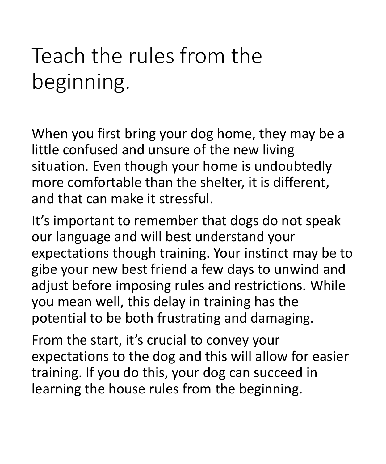# Teach the rules from the beginning.

When you first bring your dog home, they may be a little confused and unsure of the new living situation. Even though your home is undoubtedly more comfortable than the shelter, it is different, and that can make it stressful.

It's important to remember that dogs do not speak our language and will best understand your expectations though training. Your instinct may be to gibe your new best friend a few days to unwind and adjust before imposing rules and restrictions. While you mean well, this delay in training has the potential to be both frustrating and damaging.

From the start, it's crucial to convey your expectations to the dog and this will allow for easier training. If you do this, your dog can succeed in learning the house rules from the beginning.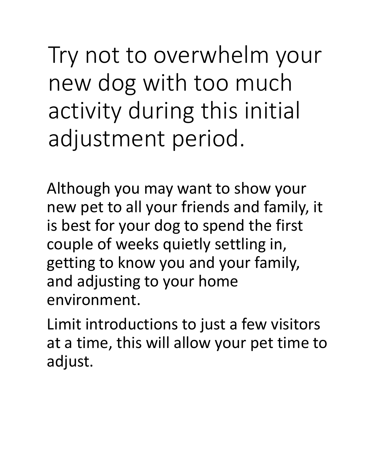Try not to overwhelm your new dog with too much activity during this initial adjustment period.

Although you may want to show your new pet to all your friends and family, it is best for your dog to spend the first couple of weeks quietly settling in, getting to know you and your family, and adjusting to your home environment.

Limit introductions to just a few visitors at a time, this will allow your pet time to adjust.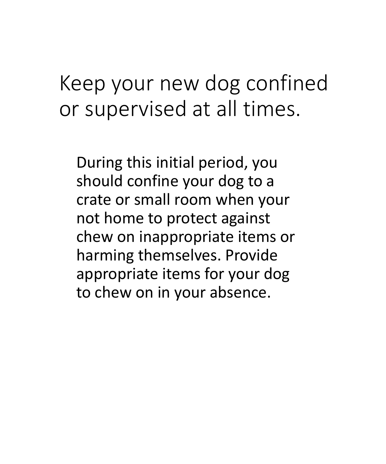### Keep your new dog confined or supervised at all times.

During this initial period, you should confine your dog to a crate or small room when your not home to protect against chew on inappropriate items or harming themselves. Provide appropriate items for your dog to chew on in your absence.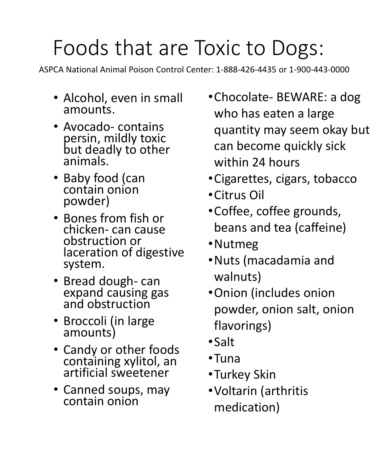# Foods that are Toxic to Dogs:

ASPCA National Animal Poison Control Center: 1-888-426-4435 or 1-900-443-0000

- Alcohol, even in small amounts.
- Avocado- contains persin, mildly toxic but deadly to other animals.
- Baby food (can contain onion powder)
- Bones from fish or chicken- can cause obstruction or laceration of digestive system.
- Bread dough- can expand causing gas and obstruction
- Broccoli (in large amounts)
- Candy or other foods containing xylitol, an artificial sweetener
- Canned soups, may contain onion
- •Chocolate- BEWARE: a dog who has eaten a large quantity may seem okay but can become quickly sick within 24 hours
- •Cigarettes, cigars, tobacco
- •Citrus Oil
- •Coffee, coffee grounds, beans and tea (caffeine)
- •Nutmeg
- •Nuts (macadamia and walnuts)
- •Onion (includes onion powder, onion salt, onion flavorings)
- •Salt
- •Tuna
- •Turkey Skin
- •Voltarin (arthritis medication)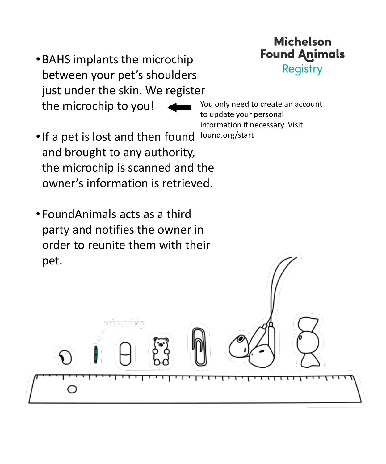- •BAHS implants the microchip between your pet's shoulders just under the skin. We register the microchip to you!
- •If a pet is lost and then found and brought to any authority, the microchip is scanned and the owner's information is retrieved.
- FoundAnimals acts as a third party and notifies the owner in order to reunite them with their pet.

You only need to create an account to update your personal information if necessary. Visit found.org/start

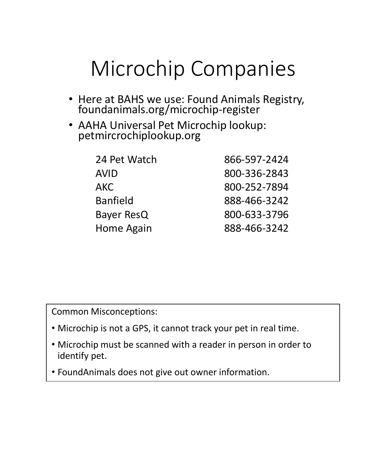### Microchip Companies

- Here at BAHS we use: Found Animals Registry, foundanimals.org/microchip-register
- AAHA Universal Pet Microchip lookup: petmircrochiplookup.org

| 24 Pet Watch    | 866-597-2424 |
|-----------------|--------------|
| <b>AVID</b>     | 800-336-2843 |
| AKC.            | 800-252-7894 |
| <b>Banfield</b> | 888-466-3242 |
| Bayer ResQ      | 800-633-3796 |
| Home Again      | 888-466-3242 |

Common Misconceptions:

- Microchip is not a GPS, it cannot track your pet in real time.
- Microchip must be scanned with a reader in person in order to identify pet.
- FoundAnimals does not give out owner information.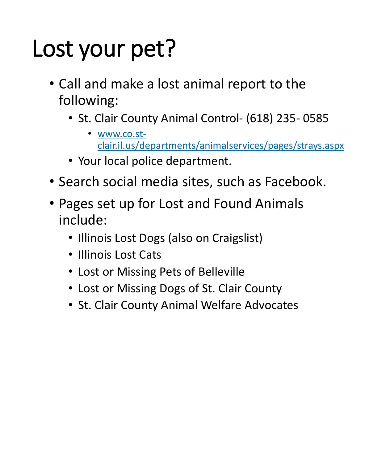# Lost your pet?

- Call and make a lost animal report to the following:
	- St. Clair County Animal Control- (618) 235- 0585
		- www.co.st[clair.il.us/departments/animalservices/pages/strays.aspx](http://www.co.st-clair.il.us/departments/animalservices/pages/strays.aspx)
	- Your local police department.
- Search social media sites, such as Facebook.
- Pages set up for Lost and Found Animals include:
	- Illinois Lost Dogs (also on Craigslist)
	- Illinois Lost Cats
	- Lost or Missing Pets of Belleville
	- Lost or Missing Dogs of St. Clair County
	- St. Clair County Animal Welfare Advocates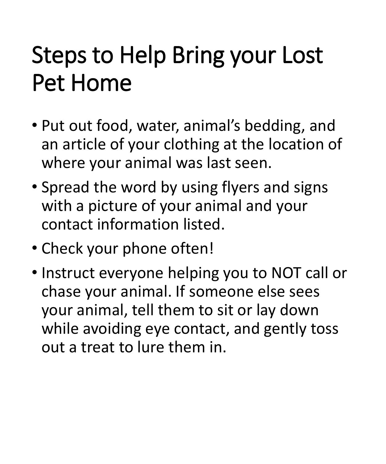# Steps to Help Bring your Lost Pet Home

- Put out food, water, animal's bedding, and an article of your clothing at the location of where your animal was last seen.
- Spread the word by using flyers and signs with a picture of your animal and your contact information listed.
- Check your phone often!
- Instruct everyone helping you to NOT call or chase your animal. If someone else sees your animal, tell them to sit or lay down while avoiding eye contact, and gently toss out a treat to lure them in.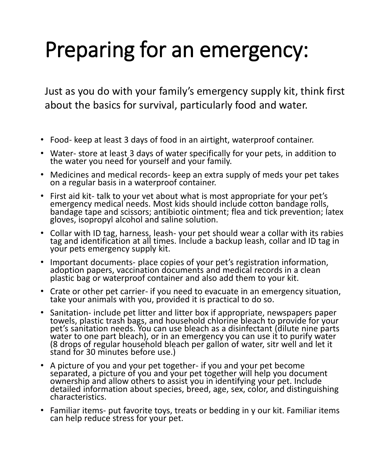# Preparing for an emergency:

Just as you do with your family's emergency supply kit, think first about the basics for survival, particularly food and water.

- Food- keep at least 3 days of food in an airtight, waterproof container.
- Water- store at least 3 days of water specifically for your pets, in addition to the water you need for yourself and your family.
- Medicines and medical records- keep an extra supply of meds your pet takes on a regular basis in a waterproof container.
- First aid kit- talk to your vet about what is most appropriate for your pet's emergency medical needs. Most kids should include cotton bandage rolls, bandage tape and scissors; antibiotic ointment; flea and tick prevention; latex gloves, isopropyl alcohol and saline solution.
- Collar with ID tag, harness, leash- your pet should wear a collar with its rabies tag and identification at all times. Include a backup leash, collar and ID tag in your pets emergency supply kit.
- Important documents- place copies of your pet's registration information, adoption papers, vaccination documents and medical records in a clean plastic bag or waterproof container and also add them to your kit.
- Crate or other pet carrier- if you need to evacuate in an emergency situation, take your animals with you, provided it is practical to do so.
- Sanitation- include pet litter and litter box if appropriate, newspapers paper towels, plastic trash bags, and household chlorine bleach to provide for your pet's sanitation needs. You can use bleach as a disinfectant (dilute nine parts water to one part bleach), or in an emergency you can use it to purify water (8 drops of regular household bleach per gallon of water, sitr well and let it stand for 30 minutes before use.)
- A picture of you and your pet together- if you and your pet become separated, a picture of you and your pet together will help you document ownership and allow others to assist you in identifying your pet. Include detailed information about species, breed, age, sex, color, and distinguishing characteristics.
- Familiar items- put favorite toys, treats or bedding in y our kit. Familiar items can help reduce stress for your pet.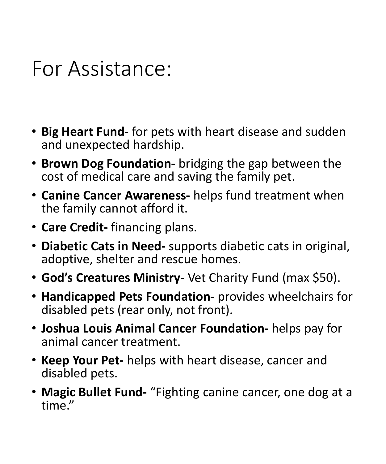### For Assistance:

- **Big Heart Fund-** for pets with heart disease and sudden and unexpected hardship.
- **Brown Dog Foundation-** bridging the gap between the cost of medical care and saving the family pet.
- **Canine Cancer Awareness-** helps fund treatment when the family cannot afford it.
- **Care Credit-** financing plans.
- **Diabetic Cats in Need-** supports diabetic cats in original, adoptive, shelter and rescue homes.
- **God's Creatures Ministry-** Vet Charity Fund (max \$50).
- **Handicapped Pets Foundation-** provides wheelchairs for disabled pets (rear only, not front).
- **Joshua Louis Animal Cancer Foundation-** helps pay for animal cancer treatment.
- **Keep Your Pet-** helps with heart disease, cancer and disabled pets.
- **Magic Bullet Fund-** "Fighting canine cancer, one dog at a time."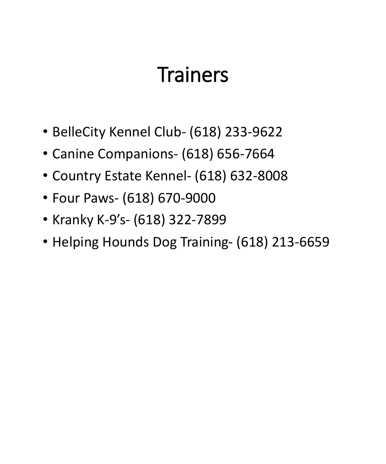### **Trainers**

- BelleCity Kennel Club- (618) 233-9622
- Canine Companions- (618) 656-7664
- Country Estate Kennel- (618) 632-8008
- Four Paws- (618) 670-9000
- Kranky K-9's- (618) 322-7899
- Helping Hounds Dog Training- (618) 213-6659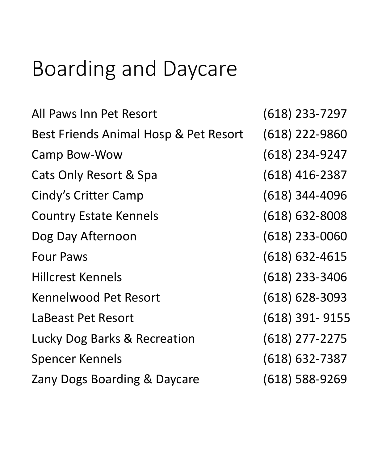### Boarding and Daycare

| All Paws Inn Pet Resort                 | $(618)$ 233-7297   |
|-----------------------------------------|--------------------|
| Best Friends Animal Hosp & Pet Resort   | $(618)$ 222-9860   |
| Camp Bow-Wow                            | $(618)$ 234-9247   |
| Cats Only Resort & Spa                  | $(618)$ 416-2387   |
| <b>Cindy's Critter Camp</b>             | $(618)$ 344-4096   |
| <b>Country Estate Kennels</b>           | $(618) 632 - 8008$ |
| Dog Day Afternoon                       | $(618)$ 233-0060   |
| <b>Four Paws</b>                        | $(618) 632 - 4615$ |
| <b>Hillcrest Kennels</b>                | $(618)$ 233-3406   |
| <b>Kennelwood Pet Resort</b>            | $(618) 628 - 3093$ |
| LaBeast Pet Resort                      | $(618)$ 391-9155   |
| <b>Lucky Dog Barks &amp; Recreation</b> | $(618)$ 277-2275   |
| Spencer Kennels                         | $(618) 632 - 7387$ |
| Zany Dogs Boarding & Daycare            | $(618)$ 588-9269   |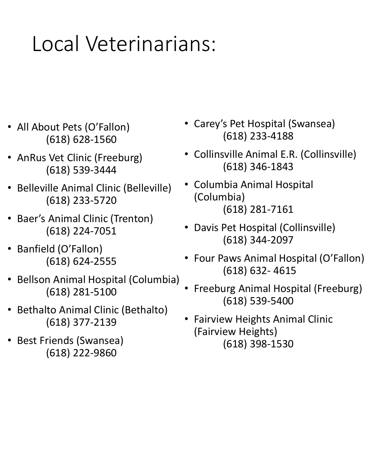### Local Veterinarians:

- All About Pets (O'Fallon) (618) 628-1560
- AnRus Vet Clinic (Freeburg) (618) 539-3444
- Belleville Animal Clinic (Belleville) (618) 233-5720
- Baer's Animal Clinic (Trenton) (618) 224-7051
- Banfield (O'Fallon) (618) 624-2555
- Bellson Animal Hospital (Columbia) (618) 281-5100
- Bethalto Animal Clinic (Bethalto) (618) 377-2139
- Best Friends (Swansea) (618) 222-9860
- Carey's Pet Hospital (Swansea) (618) 233-4188
- Collinsville Animal E.R. (Collinsville) (618) 346-1843
- Columbia Animal Hospital (Columbia) (618) 281-7161
- Davis Pet Hospital (Collinsville) (618) 344-2097
- Four Paws Animal Hospital (O'Fallon) (618) 632- 4615
- Freeburg Animal Hospital (Freeburg) (618) 539-5400
- Fairview Heights Animal Clinic (Fairview Heights) (618) 398-1530